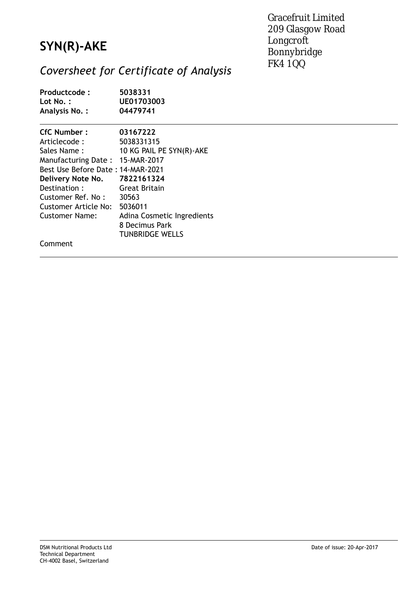## **SYN(R)-AKE**

Gracefruit Limited 209 Glasgow Road Longcroft Bonnybridge FK4 1QQ

## *Coversheet for Certificate of Analysis*

| Productcode:<br>$Lot No.$ :<br><b>Analysis No.:</b> | 5038331<br>UE01703003<br>04479741 |
|-----------------------------------------------------|-----------------------------------|
| <b>CfC Number:</b>                                  | 03167222                          |
| Articlecode:                                        | 5038331315                        |
| Sales Name:                                         | 10 KG PAIL PE SYN(R)-AKE          |
| Manufacturing Date: 15-MAR-2017                     |                                   |
| Best Use Before Date: 14-MAR-2021                   |                                   |
| Delivery Note No.                                   | 7822161324                        |
| Destination:                                        | <b>Great Britain</b>              |
| Customer Ref. No:                                   | 30563                             |
| Customer Article No:                                | 5036011                           |
| <b>Customer Name:</b>                               | Adina Cosmetic Ingredients        |
|                                                     | 8 Decimus Park                    |
|                                                     | <b>TUNBRIDGE WELLS</b>            |
| Comment                                             |                                   |